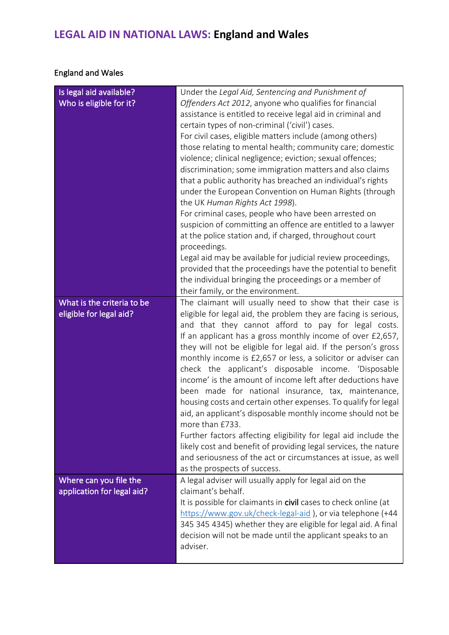## **LEGAL AID IN NATIONAL LAWS: England and Wales**

## England and Wales

| Is legal aid available?    | Under the Legal Aid, Sentencing and Punishment of                                                                            |
|----------------------------|------------------------------------------------------------------------------------------------------------------------------|
| Who is eligible for it?    | Offenders Act 2012, anyone who qualifies for financial                                                                       |
|                            | assistance is entitled to receive legal aid in criminal and                                                                  |
|                            | certain types of non-criminal ('civil') cases.                                                                               |
|                            | For civil cases, eligible matters include (among others)                                                                     |
|                            | those relating to mental health; community care; domestic                                                                    |
|                            | violence; clinical negligence; eviction; sexual offences;                                                                    |
|                            | discrimination; some immigration matters and also claims                                                                     |
|                            | that a public authority has breached an individual's rights                                                                  |
|                            | under the European Convention on Human Rights (through                                                                       |
|                            | the UK Human Rights Act 1998).                                                                                               |
|                            | For criminal cases, people who have been arrested on                                                                         |
|                            | suspicion of committing an offence are entitled to a lawyer                                                                  |
|                            | at the police station and, if charged, throughout court                                                                      |
|                            | proceedings.                                                                                                                 |
|                            | Legal aid may be available for judicial review proceedings,                                                                  |
|                            | provided that the proceedings have the potential to benefit                                                                  |
|                            | the individual bringing the proceedings or a member of                                                                       |
|                            | their family, or the environment.                                                                                            |
| What is the criteria to be | The claimant will usually need to show that their case is                                                                    |
| eligible for legal aid?    | eligible for legal aid, the problem they are facing is serious,                                                              |
|                            | and that they cannot afford to pay for legal costs.                                                                          |
|                            | If an applicant has a gross monthly income of over £2,657,<br>they will not be eligible for legal aid. If the person's gross |
|                            | monthly income is £2,657 or less, a solicitor or adviser can                                                                 |
|                            | check the applicant's disposable income. 'Disposable                                                                         |
|                            | income' is the amount of income left after deductions have                                                                   |
|                            | been made for national insurance, tax, maintenance,                                                                          |
|                            | housing costs and certain other expenses. To qualify for legal                                                               |
|                            | aid, an applicant's disposable monthly income should not be                                                                  |
|                            | more than £733.                                                                                                              |
|                            | Further factors affecting eligibility for legal aid include the                                                              |
|                            | likely cost and benefit of providing legal services, the nature                                                              |
|                            | and seriousness of the act or circumstances at issue, as well                                                                |
|                            | as the prospects of success.                                                                                                 |
| Where can you file the     | A legal adviser will usually apply for legal aid on the                                                                      |
| application for legal aid? | claimant's behalf.                                                                                                           |
|                            | It is possible for claimants in civil cases to check online (at                                                              |
|                            | https://www.gov.uk/check-legal-aid), or via telephone (+44                                                                   |
|                            | 345 345 4345) whether they are eligible for legal aid. A final                                                               |
|                            | decision will not be made until the applicant speaks to an                                                                   |
|                            | adviser.                                                                                                                     |
|                            |                                                                                                                              |